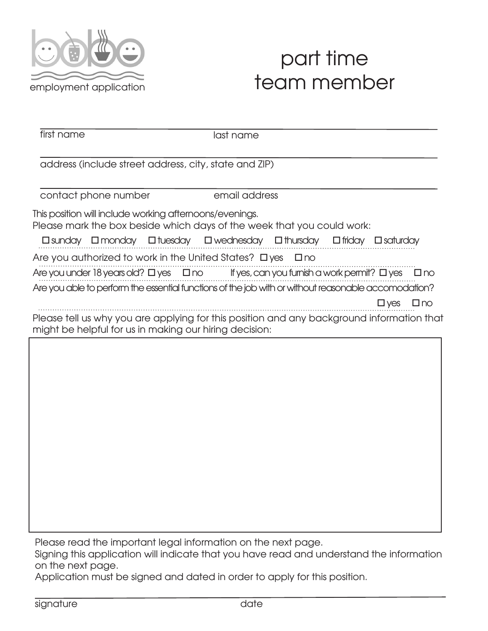

## part time team member

first name last name address (include street address, city, state and ZIP) contact phone number email address This position will include working afternoons/evenings. Please mark the box beside which days of the week that you could work:  $\square$  sunday  $\square$  monday  $\square$  tuesday  $\square$  wednesday  $\square$  thursday  $\square$  friday  $\square$  saturday Are you authorized to work in the United States?  $\Box$  yes  $\Box$  no Are you under 18 years old? O yes O no If yes, can you furnish a work permit? O yes O no Are you able to perform the essential functions of the job with or without reasonable accomodation? o yes o no Please tell us why you are applying for this position and any background information that might be helpful for us in making our hiring decision:

Please read the important legal information on the next page.

Signing this application will indicate that you have read and understand the information on the next page.

Application must be signed and dated in order to apply for this position.